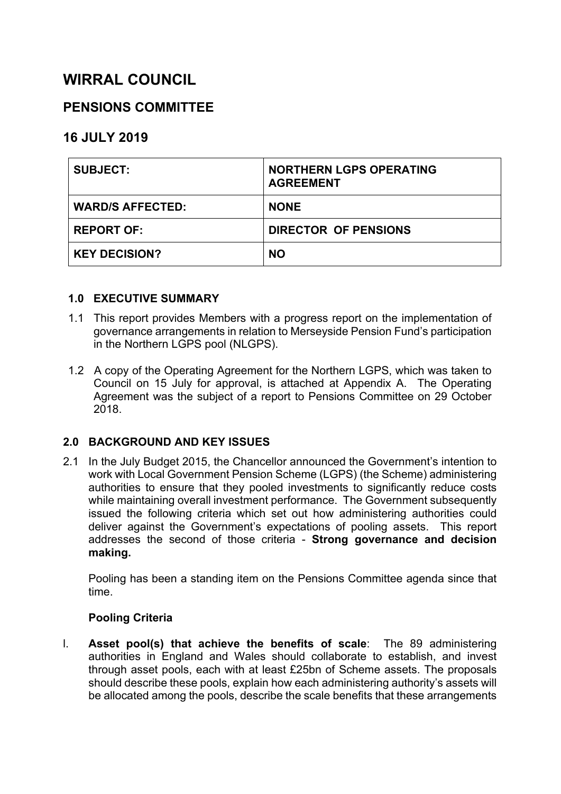# **WIRRAL COUNCIL**

# **PENSIONS COMMITTEE**

# **16 JULY 2019**

| <b>SUBJECT:</b>         | <b>NORTHERN LGPS OPERATING</b><br><b>AGREEMENT</b> |
|-------------------------|----------------------------------------------------|
| <b>WARD/S AFFECTED:</b> | <b>NONE</b>                                        |
| <b>REPORT OF:</b>       | <b>DIRECTOR OF PENSIONS</b>                        |
| <b>KEY DECISION?</b>    | <b>NO</b>                                          |

# **1.0 EXECUTIVE SUMMARY**

- 1.1 This report provides Members with a progress report on the implementation of governance arrangements in relation to Merseyside Pension Fund's participation in the Northern LGPS pool (NLGPS).
- 1.2 A copy of the Operating Agreement for the Northern LGPS, which was taken to Council on 15 July for approval, is attached at Appendix A. The Operating Agreement was the subject of a report to Pensions Committee on 29 October 2018.

# **2.0 BACKGROUND AND KEY ISSUES**

2.1 In the July Budget 2015, the Chancellor announced the Government's intention to work with Local Government Pension Scheme (LGPS) (the Scheme) administering authorities to ensure that they pooled investments to significantly reduce costs while maintaining overall investment performance. The Government subsequently issued the following criteria which set out how administering authorities could deliver against the Government's expectations of pooling assets. This report addresses the second of those criteria - **Strong governance and decision making.**

Pooling has been a standing item on the Pensions Committee agenda since that time.

# **Pooling Criteria**

l. **Asset pool(s) that achieve the benefits of scale**: The 89 administering authorities in England and Wales should collaborate to establish, and invest through asset pools, each with at least £25bn of Scheme assets. The proposals should describe these pools, explain how each administering authority's assets will be allocated among the pools, describe the scale benefits that these arrangements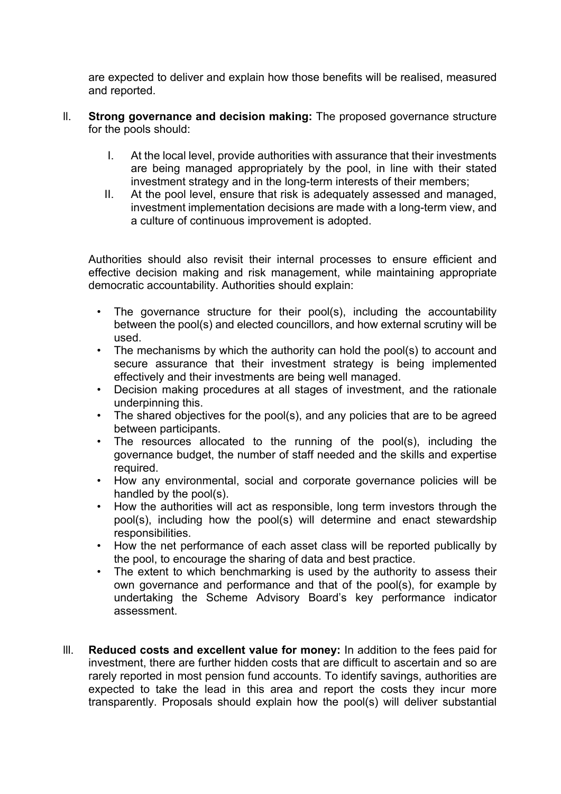are expected to deliver and explain how those benefits will be realised, measured and reported.

- ll. **Strong governance and decision making:** The proposed governance structure for the pools should:
	- I. At the local level, provide authorities with assurance that their investments are being managed appropriately by the pool, in line with their stated investment strategy and in the long-term interests of their members;
	- II. At the pool level, ensure that risk is adequately assessed and managed, investment implementation decisions are made with a long-term view, and a culture of continuous improvement is adopted.

Authorities should also revisit their internal processes to ensure efficient and effective decision making and risk management, while maintaining appropriate democratic accountability. Authorities should explain:

- The governance structure for their pool(s), including the accountability between the pool(s) and elected councillors, and how external scrutiny will be used.
- The mechanisms by which the authority can hold the pool(s) to account and secure assurance that their investment strategy is being implemented effectively and their investments are being well managed.
- Decision making procedures at all stages of investment, and the rationale underpinning this.
- The shared objectives for the pool(s), and any policies that are to be agreed between participants.
- The resources allocated to the running of the pool(s), including the governance budget, the number of staff needed and the skills and expertise required.
- How any environmental, social and corporate governance policies will be handled by the pool(s).
- How the authorities will act as responsible, long term investors through the pool(s), including how the pool(s) will determine and enact stewardship responsibilities.
- How the net performance of each asset class will be reported publically by the pool, to encourage the sharing of data and best practice.
- The extent to which benchmarking is used by the authority to assess their own governance and performance and that of the pool(s), for example by undertaking the Scheme Advisory Board's key performance indicator assessment.
- lll. **Reduced costs and excellent value for money:** In addition to the fees paid for investment, there are further hidden costs that are difficult to ascertain and so are rarely reported in most pension fund accounts. To identify savings, authorities are expected to take the lead in this area and report the costs they incur more transparently. Proposals should explain how the pool(s) will deliver substantial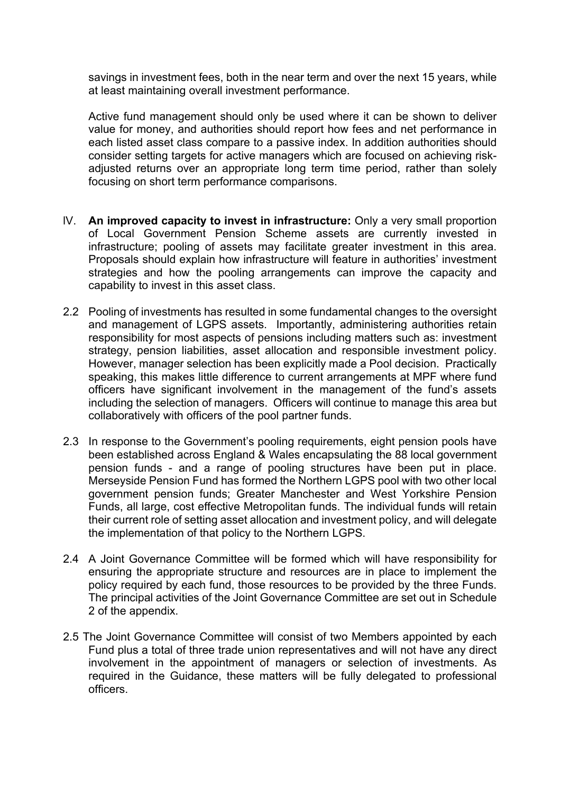savings in investment fees, both in the near term and over the next 15 years, while at least maintaining overall investment performance.

Active fund management should only be used where it can be shown to deliver value for money, and authorities should report how fees and net performance in each listed asset class compare to a passive index. In addition authorities should consider setting targets for active managers which are focused on achieving riskadjusted returns over an appropriate long term time period, rather than solely focusing on short term performance comparisons.

- lV. **An improved capacity to invest in infrastructure:** Only a very small proportion of Local Government Pension Scheme assets are currently invested in infrastructure; pooling of assets may facilitate greater investment in this area. Proposals should explain how infrastructure will feature in authorities' investment strategies and how the pooling arrangements can improve the capacity and capability to invest in this asset class.
- 2.2 Pooling of investments has resulted in some fundamental changes to the oversight and management of LGPS assets. Importantly, administering authorities retain responsibility for most aspects of pensions including matters such as: investment strategy, pension liabilities, asset allocation and responsible investment policy. However, manager selection has been explicitly made a Pool decision. Practically speaking, this makes little difference to current arrangements at MPF where fund officers have significant involvement in the management of the fund's assets including the selection of managers. Officers will continue to manage this area but collaboratively with officers of the pool partner funds.
- 2.3 In response to the Government's pooling requirements, eight pension pools have been established across England & Wales encapsulating the 88 local government pension funds - and a range of pooling structures have been put in place. Merseyside Pension Fund has formed the Northern LGPS pool with two other local government pension funds; Greater Manchester and West Yorkshire Pension Funds, all large, cost effective Metropolitan funds. The individual funds will retain their current role of setting asset allocation and investment policy, and will delegate the implementation of that policy to the Northern LGPS.
- 2.4 A Joint Governance Committee will be formed which will have responsibility for ensuring the appropriate structure and resources are in place to implement the policy required by each fund, those resources to be provided by the three Funds. The principal activities of the Joint Governance Committee are set out in Schedule 2 of the appendix.
- 2.5 The Joint Governance Committee will consist of two Members appointed by each Fund plus a total of three trade union representatives and will not have any direct involvement in the appointment of managers or selection of investments. As required in the Guidance, these matters will be fully delegated to professional officers.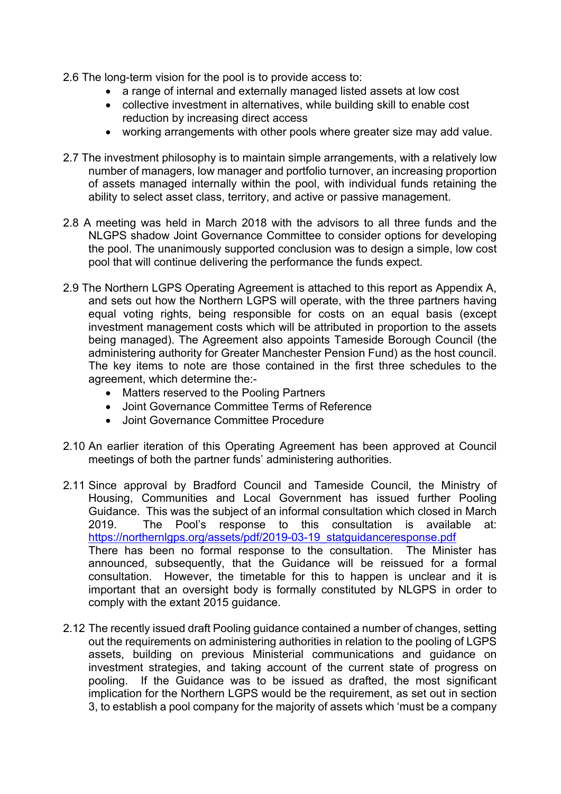- 2.6 The long-term vision for the pool is to provide access to:
	- a range of internal and externally managed listed assets at low cost
	- collective investment in alternatives, while building skill to enable cost reduction by increasing direct access
	- working arrangements with other pools where greater size may add value.
- 2.7 The investment philosophy is to maintain simple arrangements, with a relatively low number of managers, low manager and portfolio turnover, an increasing proportion of assets managed internally within the pool, with individual funds retaining the ability to select asset class, territory, and active or passive management.
- 2.8 A meeting was held in March 2018 with the advisors to all three funds and the NLGPS shadow Joint Governance Committee to consider options for developing the pool. The unanimously supported conclusion was to design a simple, low cost pool that will continue delivering the performance the funds expect.
- 2.9 The Northern LGPS Operating Agreement is attached to this report as Appendix A, and sets out how the Northern LGPS will operate, with the three partners having equal voting rights, being responsible for costs on an equal basis (except investment management costs which will be attributed in proportion to the assets being managed). The Agreement also appoints Tameside Borough Council (the administering authority for Greater Manchester Pension Fund) as the host council. The key items to note are those contained in the first three schedules to the agreement, which determine the:-
	- Matters reserved to the Pooling Partners
	- Joint Governance Committee Terms of Reference
	- Joint Governance Committee Procedure
- 2.10 An earlier iteration of this Operating Agreement has been approved at Council meetings of both the partner funds' administering authorities.
- 2.11 Since approval by Bradford Council and Tameside Council, the Ministry of Housing, Communities and Local Government has issued further Pooling Guidance. This was the subject of an informal consultation which closed in March 2019. The Pool's response to this consultation is available at: [https://northernlgps.org/assets/pdf/2019-03-19\\_statguidanceresponse.pdf](https://northernlgps.org/assets/pdf/2019-03-19_statguidanceresponse.pdf) There has been no formal response to the consultation. The Minister has announced, subsequently, that the Guidance will be reissued for a formal consultation. However, the timetable for this to happen is unclear and it is important that an oversight body is formally constituted by NLGPS in order to comply with the extant 2015 guidance.
- 2.12 The recently issued draft Pooling guidance contained a number of changes, setting out the requirements on administering authorities in relation to the pooling of LGPS assets, building on previous Ministerial communications and guidance on investment strategies, and taking account of the current state of progress on pooling. If the Guidance was to be issued as drafted, the most significant implication for the Northern LGPS would be the requirement, as set out in section 3, to establish a pool company for the majority of assets which 'must be a company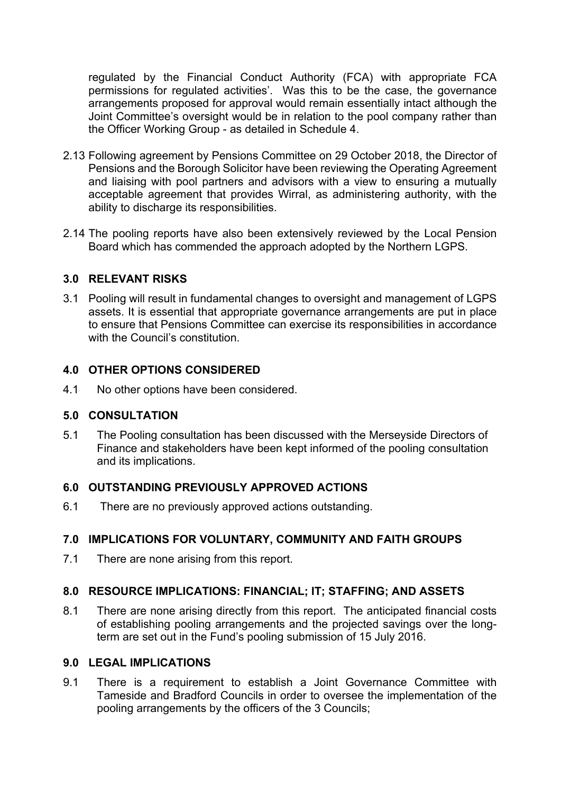regulated by the Financial Conduct Authority (FCA) with appropriate FCA permissions for regulated activities'. Was this to be the case, the governance arrangements proposed for approval would remain essentially intact although the Joint Committee's oversight would be in relation to the pool company rather than the Officer Working Group - as detailed in Schedule 4.

- 2.13 Following agreement by Pensions Committee on 29 October 2018, the Director of Pensions and the Borough Solicitor have been reviewing the Operating Agreement and liaising with pool partners and advisors with a view to ensuring a mutually acceptable agreement that provides Wirral, as administering authority, with the ability to discharge its responsibilities.
- 2.14 The pooling reports have also been extensively reviewed by the Local Pension Board which has commended the approach adopted by the Northern LGPS.

# **3.0 RELEVANT RISKS**

3.1 Pooling will result in fundamental changes to oversight and management of LGPS assets. It is essential that appropriate governance arrangements are put in place to ensure that Pensions Committee can exercise its responsibilities in accordance with the Council's constitution

# **4.0 OTHER OPTIONS CONSIDERED**

4.1 No other options have been considered.

# **5.0 CONSULTATION**

5.1 The Pooling consultation has been discussed with the Merseyside Directors of Finance and stakeholders have been kept informed of the pooling consultation and its implications.

# **6.0 OUTSTANDING PREVIOUSLY APPROVED ACTIONS**

6.1 There are no previously approved actions outstanding.

# **7.0 IMPLICATIONS FOR VOLUNTARY, COMMUNITY AND FAITH GROUPS**

7.1 There are none arising from this report.

# **8.0 RESOURCE IMPLICATIONS: FINANCIAL; IT; STAFFING; AND ASSETS**

8.1 There are none arising directly from this report. The anticipated financial costs of establishing pooling arrangements and the projected savings over the longterm are set out in the Fund's pooling submission of 15 July 2016.

#### **9.0 LEGAL IMPLICATIONS**

9.1 There is a requirement to establish a Joint Governance Committee with Tameside and Bradford Councils in order to oversee the implementation of the pooling arrangements by the officers of the 3 Councils;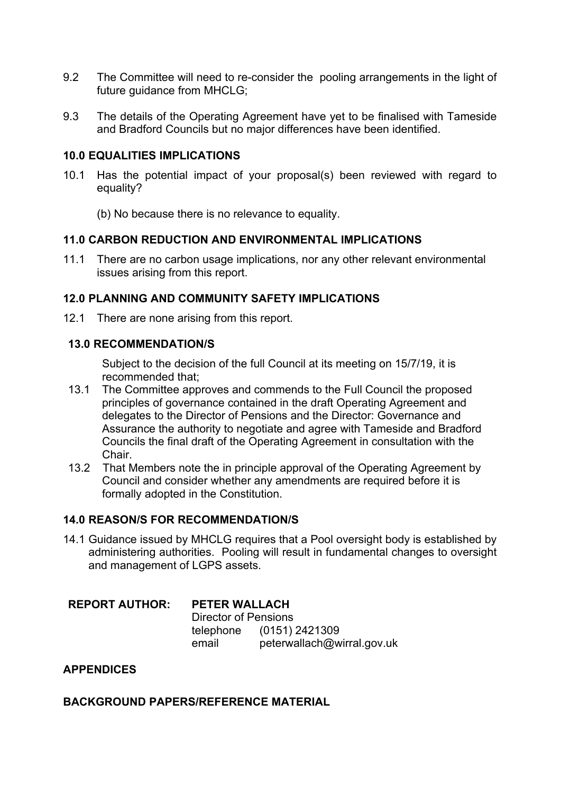- 9.2 The Committee will need to re-consider the pooling arrangements in the light of future quidance from MHCLG:
- 9.3 The details of the Operating Agreement have yet to be finalised with Tameside and Bradford Councils but no major differences have been identified.

# **10.0 EQUALITIES IMPLICATIONS**

10.1 Has the potential impact of your proposal(s) been reviewed with regard to equality?

(b) No because there is no relevance to equality.

#### **11.0 CARBON REDUCTION AND ENVIRONMENTAL IMPLICATIONS**

11.1 There are no carbon usage implications, nor any other relevant environmental issues arising from this report.

# **12.0 PLANNING AND COMMUNITY SAFETY IMPLICATIONS**

12.1 There are none arising from this report.

#### **13.0 RECOMMENDATION/S**

Subject to the decision of the full Council at its meeting on 15/7/19, it is recommended that;

- 13.1 The Committee approves and commends to the Full Council the proposed principles of governance contained in the draft Operating Agreement and delegates to the Director of Pensions and the Director: Governance and Assurance the authority to negotiate and agree with Tameside and Bradford Councils the final draft of the Operating Agreement in consultation with the Chair.
- 13.2 That Members note the in principle approval of the Operating Agreement by Council and consider whether any amendments are required before it is formally adopted in the Constitution.

# **14.0 REASON/S FOR RECOMMENDATION/S**

14.1 Guidance issued by MHCLG requires that a Pool oversight body is established by administering authorities. Pooling will result in fundamental changes to oversight and management of LGPS assets.

# **REPORT AUTHOR: PETER WALLACH**

Director of Pensions telephone (0151) 2421309 email peterwallach@wirral.gov.uk

# **APPENDICES**

# **BACKGROUND PAPERS/REFERENCE MATERIAL**